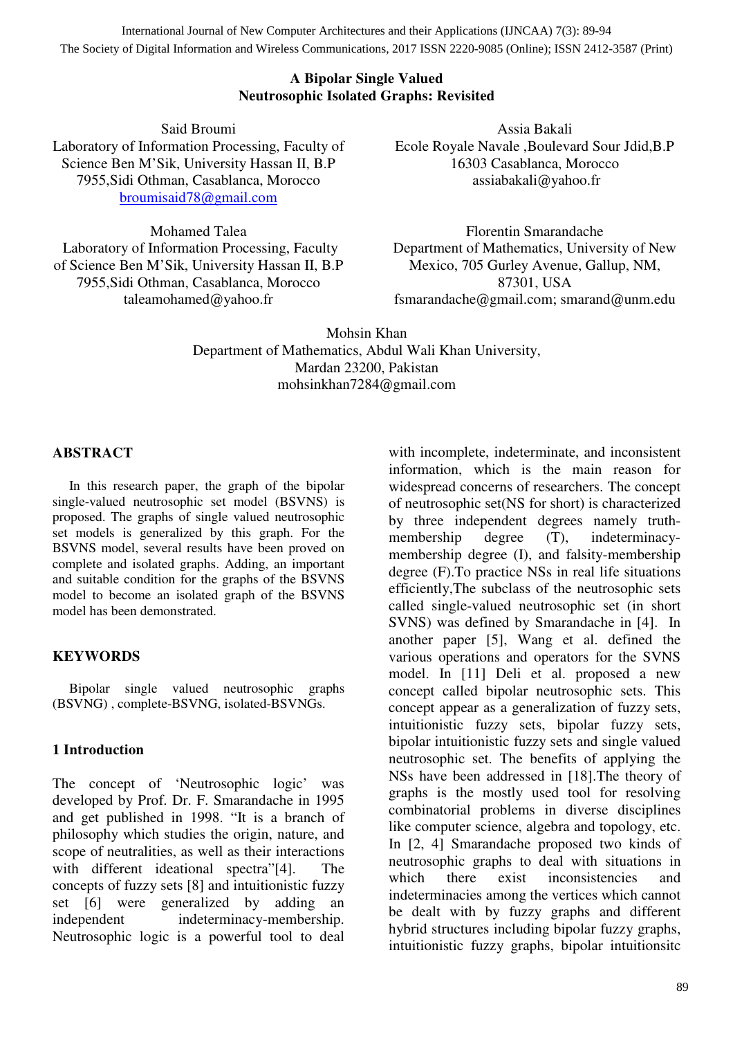International Journal of New Computer Architectures and their Applications (IJNCAA) 7(3): 89-94 The Society of Digital Information and Wireless Communications, 2017 ISSN 2220-9085 (Online); ISSN 2412-3587 (Print)

#### **A Bipolar Single Valued Neutrosophic Isolated Graphs: Revisited**

Said Broumi Laboratory of Information Processing, Faculty of Science Ben M'Sik, University Hassan II, B.P 7955,Sidi Othman, Casablanca, Morocco broumisaid78@gmail.com

Mohamed Talea Laboratory of Information Processing, Faculty of Science Ben M'Sik, University Hassan II, B.P 7955,Sidi Othman, Casablanca, Morocco taleamohamed@yahoo.fr

Assia Bakali Ecole Royale Navale ,Boulevard Sour Jdid,B.P 16303 Casablanca, Morocco assiabakali@yahoo.fr

Florentin Smarandache Department of Mathematics, University of New Mexico, 705 Gurley Avenue, Gallup, NM, 87301, USA fsmarandache@gmail.com; smarand@unm.edu

Mohsin Khan Department of Mathematics, Abdul Wali Khan University, Mardan 23200, Pakistan mohsinkhan7284@gmail.com

#### **ABSTRACT**

In this research paper, the graph of the bipolar single-valued neutrosophic set model (BSVNS) is proposed. The graphs of single valued neutrosophic set models is generalized by this graph. For the BSVNS model, several results have been proved on complete and isolated graphs. Adding, an important and suitable condition for the graphs of the BSVNS model to become an isolated graph of the BSVNS model has been demonstrated.

#### **KEYWORDS**

Bipolar single valued neutrosophic graphs (BSVNG) , complete-BSVNG, isolated-BSVNGs.

#### **1 Introduction**

The concept of 'Neutrosophic logic' was developed by Prof. Dr. F. Smarandache in 1995 and get published in 1998. "It is a branch of philosophy which studies the origin, nature, and scope of neutralities, as well as their interactions with different ideational spectra"[4]. The concepts of fuzzy sets [8] and intuitionistic fuzzy set [6] were generalized by adding an independent indeterminacy-membership. Neutrosophic logic is a powerful tool to deal

with incomplete, indeterminate, and inconsistent information, which is the main reason for widespread concerns of researchers. The concept of neutrosophic set(NS for short) is characterized by three independent degrees namely truthmembership degree (T), indeterminacymembership degree (I), and falsity-membership degree (F).To practice NSs in real life situations efficiently,The subclass of the neutrosophic sets called single-valued neutrosophic set (in short SVNS) was defined by Smarandache in [4]. In another paper [5], Wang et al. defined the various operations and operators for the SVNS model. In [11] Deli et al. proposed a new concept called bipolar neutrosophic sets. This concept appear as a generalization of fuzzy sets, intuitionistic fuzzy sets, bipolar fuzzy sets, bipolar intuitionistic fuzzy sets and single valued neutrosophic set. The benefits of applying the NSs have been addressed in [18].The theory of graphs is the mostly used tool for resolving combinatorial problems in diverse disciplines like computer science, algebra and topology, etc. In [2, 4] Smarandache proposed two kinds of neutrosophic graphs to deal with situations in which there exist inconsistencies and indeterminacies among the vertices which cannot be dealt with by fuzzy graphs and different hybrid structures including bipolar fuzzy graphs, intuitionistic fuzzy graphs, bipolar intuitionsitc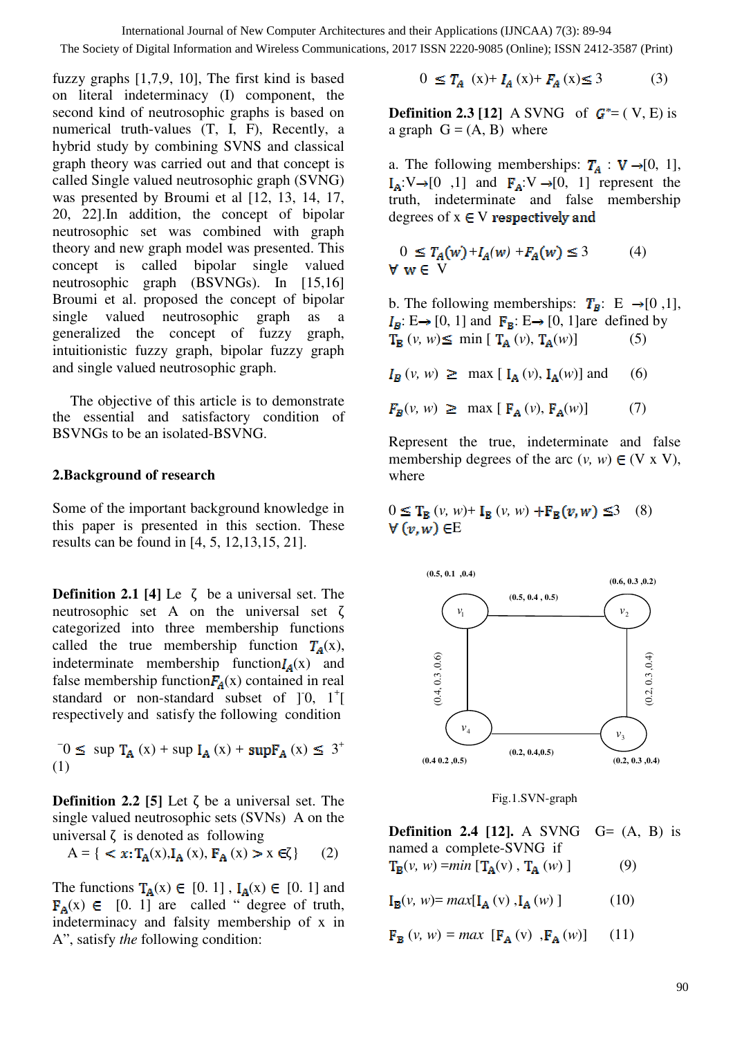The Society of Digital Information and Wireless Communications, 2017 ISSN 2220-9085 (Online); ISSN 2412-3587 (Print)

fuzzy graphs [1,7,9, 10], The first kind is based on literal indeterminacy (I) component, the second kind of neutrosophic graphs is based on numerical truth-values (T, I, F), Recently, a hybrid study by combining SVNS and classical graph theory was carried out and that concept is called Single valued neutrosophic graph (SVNG) was presented by Broumi et al [12, 13, 14, 17, 20, 22].In addition, the concept of bipolar neutrosophic set was combined with graph theory and new graph model was presented. This concept is called bipolar single valued neutrosophic graph (BSVNGs). In [15,16] Broumi et al. proposed the concept of bipolar single valued neutrosophic graph as a generalized the concept of fuzzy graph, intuitionistic fuzzy graph, bipolar fuzzy graph and single valued neutrosophic graph.

The objective of this article is to demonstrate the essential and satisfactory condition of BSVNGs to be an isolated-BSVNG.

## **2.Background of research**

Some of the important background knowledge in this paper is presented in this section. These results can be found in [4, 5, 12,13,15, 21].

**Definition 2.1 [4]** Le  $\zeta$  be a universal set. The neutrosophic set A on the universal set ζ categorized into three membership functions called the true membership function  $T_A(x)$ , indeterminate membership function $I_A(x)$  and false membership function  $F_a(x)$  contained in real standard or non-standard subset of  $]$ <sup>1</sup> $[$ respectively and satisfy the following condition

 $\overline{0}$  sup  $\overline{T}_{A}(x)$  + sup  $\overline{I}_{A}(x)$  + sup  $\overline{F}_{A}(x) \leq 3^{+}$ (1)

**Definition 2.2** [5] Let  $\zeta$  be a universal set. The single valued neutrosophic sets (SVNs) A on the universal  $\zeta$  is denoted as following

$$
A = \{ < x: T_A(x), I_A(x), F_A(x) > x \in \zeta \} \tag{2}
$$

The functions  $T_A(x) \in [0, 1]$ ,  $I_A(x) \in [0, 1]$  and  $\mathbf{F}_A(x) \in [0, 1]$  are called " degree of truth, indeterminacy and falsity membership of x in A", satisfy *the* following condition:

 $0 \leq T_A(x) + I_A(x) + F_A(x) \leq 3$  (3)

**Definition 2.3 [12]** A SVNG of  $G^* = (V, E)$  is a graph  $G = (A, B)$  where

a. The following memberships:  $T_A : V \rightarrow [0, 1]$ ,  $I_A: V \rightarrow [0, 1]$  and  $F_A: V \rightarrow [0, 1]$  represent the truth, indeterminate and false membership degrees of  $x \in V$  respectively and

$$
0 \le T_A(w) + I_A(w) + F_A(w) \le 3 \tag{4}
$$
  
V w  $\in$  V

b. The following memberships:  $T_B$ : E  $\rightarrow$  [0,1],  $I_B: E \rightarrow [0, 1]$  and  $\mathbf{F}_B: E \rightarrow [0, 1]$ are defined by  $T_B(v, w) \le \min [\ T_A(v), T_A(w)]$  (5)

 $I_R(v, w) \geq \max [ I_A(v), I_A(w) ]$  and (6)

 $F_R(v, w) \ge \max [\mathbf{F}_A(v), \mathbf{F}_A(w)]$  (7)

Represent the true, indeterminate and false membership degrees of the arc  $(v, w) \in (V \times V)$ , where

 $0 \leq T_B(v, w) + I_B(v, w) + F_B(v, w) \leq 3$  (8)  $\forall$   $(v, w) \in E$ 



Fig.1.SVN-graph

**Definition 2.4 [12].** A SVNG  $G = (A, B)$  is named a complete-SVNG if

 $T_{\mathbf{B}}(v, w) = min[T_{\mathbf{A}}(v), T_{\mathbf{A}}(w)]$  (9)

$$
\mathbf{I}_{\mathbf{B}}(v, w) = \max[\mathbf{I}_{\mathbf{A}}(v), \mathbf{I}_{\mathbf{A}}(w)] \quad (10)
$$

$$
\mathbf{F}_{\mathbf{B}}\left(v, w\right) = \max\left[\mathbf{F}_{\mathbf{A}}\left(v\right), \mathbf{F}_{\mathbf{A}}\left(w\right)\right] \quad (11)
$$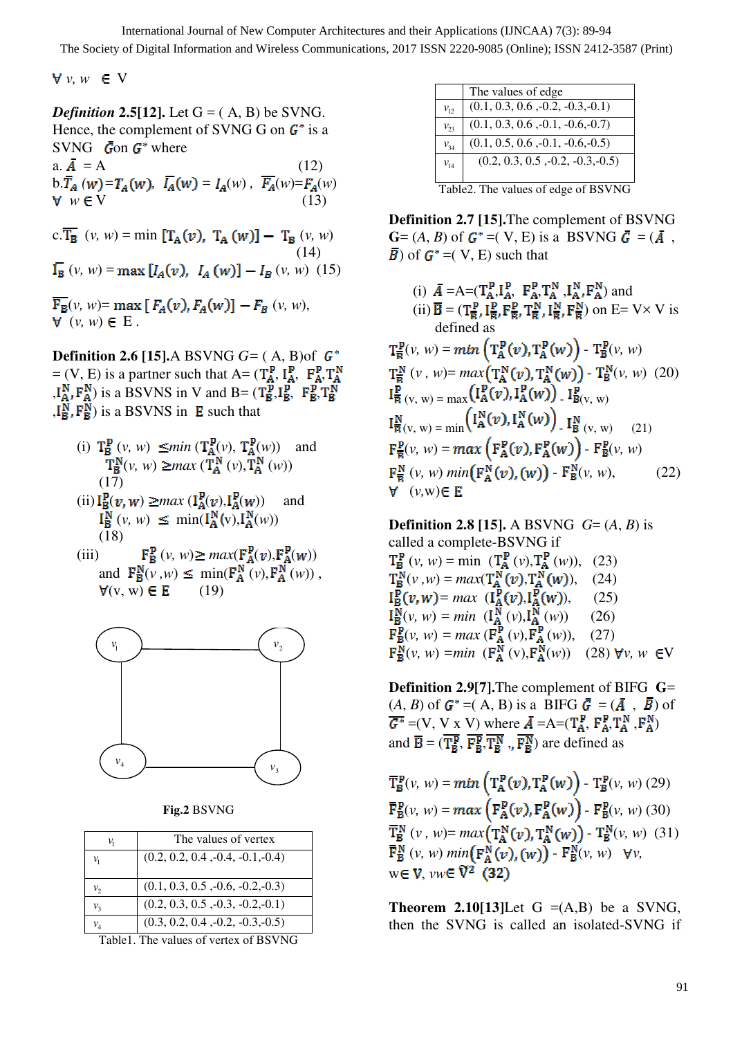$V$ *v, w*  $\in$  V

*Definition 2.5*[12]. Let  $G = (A, B)$  be SVNG. Hence, the complement of SVNG G on  $G^*$  is a SVNG  $\bar{G}$ on  $G^*$  where

a.  $\overline{A} = A$ b.  $\overline{T}_A(w) = T_A(w)$ ,  $\overline{I}_A(w) = I_A(w)$ ,  $\overline{F}_A(w) = F_A(w)$ <br> **v**  $w \in V$  (13)  $w \in V$  (13)

c.  $\overline{T_B}$  (*v, w*) = min  $[T_A(v), T_A(w)] - T_B(v, w)$  (14)  $(v, w) = \max [I_A(v), I_A(w)] - I_B(v, w)$  (15)

 $\overline{\mathrm{F}_{B}}(v, w) = \max [ F_{A}(v), F_{A}(w) ] - F_{B}(v, w),$  $\forall$   $(v, w) \in E$ .

**Definition 2.6 [15].**A BSVNG *G=* ( A, B)of  $= (V, E)$  is a partner such that  $A = (T_A^P, I_A^P, F_A^P, T_A^N)$  $_{\mathsf{A},\mathsf{I}_{\mathsf{A}}^{\mathsf{N}},\mathsf{F}_{\mathsf{A}}^{\mathsf{N}}}$ ) is a BSVNS in V and B=  $(\mathsf{T}_{\mathsf{B}}^{\mathsf{P}},\mathsf{I}_{\mathsf{B}}^{\mathsf{P}},\mathsf{F}_{\mathsf{B}}^{\mathsf{P}},\mathsf{T}_{\mathsf{B}}^{\mathsf{N}})$  $,I_{\mathbf{R}}^{N}, F_{\mathbf{R}}^{N}$ ) is a BSVNS in **E** such that

- (i)  $T^{\mathbf{p}}_{\mathbf{B}}(v, w) \leq \min (T^{\mathbf{p}}_{\mathbf{A}}(v), T^{\mathbf{p}}_{\mathbf{A}}(w))$  and  $(v, w) \ge max(\mathbf{T_A^N}(v), \mathbf{T_A^N}(w))$  $(17)$  $(ii) \overline{I_{B}^{p}(v,w)} \ge max(\overline{I_{A}^{p}(v)}, I_{A}^{p}(w))$  and
- $I_{\mathbf{B}}^{\mathbf{N}}(v, w) \leq \min(I_{\mathbf{A}}^{\mathbf{N}}(v), I_{\mathbf{A}}^{\mathbf{N}}(w))$ (18)
- (iii)  $\mathbf{F}_{\mathbf{B}}^{\mathbf{P}}(v, w) \ge \max(\mathbf{F}_{\mathbf{A}}^{\mathbf{P}}(v), \mathbf{F}_{\mathbf{A}}^{\mathbf{P}}(w))$ and  $\mathbf{F}_{\mathbf{B}}^{\mathbf{N}}(v, w) \leq \min(\mathbf{F}_{\mathbf{A}}^{\mathbf{N}}(v), \mathbf{F}_{\mathbf{A}}^{\mathbf{N}}(w))$ ,  $\forall$ (v, w)  $\in$  E (19)



**Fig.2** BSVNG

|                 | The values of vertex                |
|-----------------|-------------------------------------|
|                 |                                     |
| ν,              | $(0.2, 0.2, 0.4, -0.4, -0.1, -0.4)$ |
| $v_{2}$         | $(0.1, 0.3, 0.5, -0.6, -0.2, -0.3)$ |
| $\nu_{3}$       | $(0.2, 0.3, 0.5, -0.3, -0.2, -0.1)$ |
| $\mathcal{V}_A$ | $(0.3, 0.2, 0.4, -0.2, -0.3, -0.5)$ |

Table1. The values of vertex of BSVNG

| The values of edge<br>$(0.1, 0.3, 0.6, -0.2, -0.3, -0.1)$<br>$v_{12}$<br>$(0.1, 0.3, 0.6, -0.1, -0.6, -0.7)$<br>$v_{23}$<br>$(0.1, 0.5, 0.6, -0.1, -0.6, -0.5)$<br>$v_{34}$<br>$(0.2, 0.3, 0.5, -0.2, -0.3, -0.5)$<br>$V_{14}$ |  |
|--------------------------------------------------------------------------------------------------------------------------------------------------------------------------------------------------------------------------------|--|
|                                                                                                                                                                                                                                |  |
|                                                                                                                                                                                                                                |  |
|                                                                                                                                                                                                                                |  |
|                                                                                                                                                                                                                                |  |
|                                                                                                                                                                                                                                |  |
|                                                                                                                                                                                                                                |  |

Table2. The values of edge of BSVNG

**Definition 2.7 [15].**The complement of BSVNG  $\mathbf{G} = (A, B)$  of  $\mathbf{G}^* = (V, E)$  is a BSVNG  $\bar{\mathbf{G}} = (\bar{A}, \bar{B})$  $\overline{B}$ ) of  $G^* = (V, E)$  such that

(i) 
$$
\bar{A} = A = (T_A^P, I_A^P, F_A^P, T_A^N, I_A^N, F_A^N)
$$
 and  
\n(ii)  $\bar{B} = (T_B^P, I_B^P, F_B^P, T_B^N, I_B^N, F_B^N)$  on  $E = V \times V$  is  
\ndefined as  
\n $T_B^P(v, w) = min (T_A^P(v), T_A^P(w)) - T_B^P(v, w)$   
\n $T_B^N(v, w) = max(T_A^N(v), T_A^N(w)) - T_B^N(v, w)$  (20)  
\n $I_B^P(v, w) = max(I_A^P(v), I_A^P(w)) - I_{B(v, w)}^P(v, w)$   
\n $I_{\bar{B}}^N(v, w) = min (I_A^N(v), I_A^N(w)) - I_{B(v, w)}^P(v, w)$   
\n $I_{\bar{B}}^N(v, w) = max (F_A^P(v), F_A^P(w)) - F_B^P(v, w)$   
\n $F_{\bar{B}}^N(v, w) min(F_A^N(v), (w)) - F_B^N(v, w),$  (22)  
\n $V(v, w) \in E$ 

**Definition 2.8 [15].** A BSVNG *G*= (*A*, *B*) is called a complete-BSVNG if  $(v, w) = \min (T_A^{\mathbf{F}}(v), T_A^{\mathbf{F}}(w)),$  (23)  $(v, w) = max(T_A^N(v), T_A^N(w)),$  (24)  $= max \left( I_A^{\mathbf{F}}(v), I_A^{\mathbf{F}}(w) \right), \quad (25)$  $(v, w) = min \left( \frac{\Gamma_N^N}{\Gamma_A^N}(v), \frac{\Gamma_N^N}{\Gamma_A^N}(w) \right)$  (26)  $(v, w) = max(\mathbf{F}_A^{\mathbf{F}}(v), \mathbf{F}_A^{\mathbf{F}}(w)),$  (27)  $(v, w) = min \left( \mathbf{F_A^N}(v), \mathbf{F_A^N}(w) \right)$  (28)  $\forall v, w \in V$ 

**Definition 2.9[7].**The complement of BIFG **G**=  $(A,\,B)$  of  $G^*$  =(  $A,\,B)$  is a BIFG  $\bar{G}=(\bar{A}$  ,  $\bar{B})$  of  $\overline{A} = (V, V \times V)$  where  $\overline{A} = A = (T_A^P, F_A^P, T_A^N, F_A^N)$ and  $\overline{B} = (\mathbf{T}_{B}^{P}, \mathbf{F}_{B}^{P}, \mathbf{T}_{B}^{N}, \mathbf{F}_{B}^{N})$  are defined as

 $\overline{T}_{B}^{P}(v, w) = min\left(\overline{T}_{A}^{P}(v), \overline{T}_{A}^{P}(w)\right)$  -  $\overline{T}_{B}^{P}(v, w)$  (29)  $\overline{\mathbf{F}}_{\mathbf{B}}^{\mathbf{p}}(v, w) = \max\left(\mathbf{F}_{\mathbf{A}}^{\mathbf{p}}(v), \mathbf{F}_{\mathbf{A}}^{\mathbf{p}}(w)\right)$  -  $\mathbf{F}_{\mathbf{B}}^{\mathbf{p}}(v, w)$  (30)  $\overline{T}_{B}^{N}(v, w) = max(\Gamma_{A}^{N}(v), T_{A}^{N}(w)) - T_{B}^{N}(v, w)$  (31)  $\overline{\mathbf{F}}_{\mathbf{B}}^{N}(v, w)$  min $(\mathbf{F}_{\mathbf{A}}^{N}(v), (w))$  -  $\mathbf{F}_{\mathbf{B}}^{N}(v, w)$   $\forall v$ ,  $w \in V$ ,  $vw \in V^2$  (32)

**Theorem 2.10[13]**Let  $G = (A,B)$  be a SVNG, then the SVNG is called an isolated-SVNG if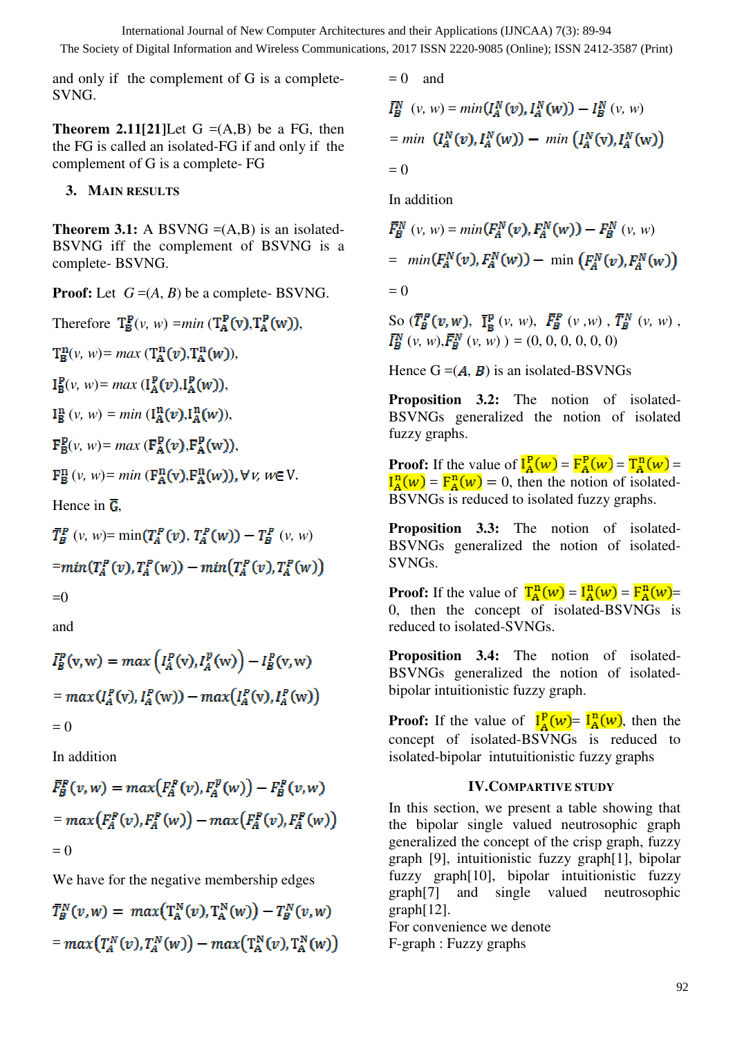and only if the complement of G is a complete-SVNG.

**Theorem 2.11[21]**Let  $G = (A,B)$  be a FG, then the FG is called an isolated-FG if and only if the complement of G is a complete- FG

## **3. MAIN RESULTS**

**Theorem 3.1:** A BSVNG  $=(A,B)$  is an isolated-BSVNG iff the complement of BSVNG is a complete- BSVNG.

**Proof:** Let  $G = (A, B)$  be a complete- BSVNG.

Therefore  $T_R^P(v, w) = min (T_A^P(v), T_A^P(w)),$  $T_{\mathbf{R}}^{\mathbf{n}}(v, w) = max(\mathbf{T}_{\mathbf{A}}^{\mathbf{n}}(v), \mathbf{T}_{\mathbf{A}}^{\mathbf{n}}(w)),$  $I_{\mathbf{p}}^{\mathbf{p}}(v, w) = max \left( I_{\mathbf{p}}^{\mathbf{p}}(v), I_{\mathbf{p}}^{\mathbf{p}}(w) \right),$  $I_{\mathcal{B}}^{n}(v, w) = min \left( I_{\mathcal{A}}^{n}(v), I_{\mathcal{A}}^{n}(w) \right),$  $\mathbf{F}_{\mathbf{B}}^{\mathbf{P}}(\nu, w) = max(\mathbf{F}_{\mathbf{A}}^{\mathbf{P}}(\nu), \mathbf{F}_{\mathbf{A}}^{\mathbf{P}}(\mathbf{w})),$  $\mathbf{F}_{\mathbf{B}}^n(v, w) = min(\mathbf{F}_{\mathbf{A}}^n(v), \mathbf{F}_{\mathbf{A}}^n(w)), \forall v, w \in V.$ 

Hence in  $\overline{G}$ .

$$
\begin{aligned} \bar{T}_B^P \ (\nu, \ w) &= \min(T_A^P(v), T_A^P(w)) - T_B^P \ (\nu, \ w) \\ &= \min(T_A^P(v), T_A^P(w)) - \min(T_A^P(v), T_A^P(w)) \\ &= 0 \end{aligned}
$$

and

$$
\bar{I}_B^P(\mathbf{v}, \mathbf{w}) = \max \left( I_A^P(\mathbf{v}), I_A^P(\mathbf{w}) \right) - I_B^P(\mathbf{v}, \mathbf{w})
$$

$$
= \max \left( I_A^P(\mathbf{v}), I_A^P(\mathbf{w}) \right) - \max \left( I_A^P(\mathbf{v}), I_A^P(\mathbf{w}) \right)
$$

$$
= 0
$$

In addition

$$
\begin{aligned} \bar{F}_B^P(v, w) &= \max \big( F_A^P(v), F_A^P(w) \big) - F_B^P(v, w) \\ &= \max \big( F_A^P(v), F_A^P(w) \big) - \max \big( F_A^P(v), F_A^P(w) \big) \\ &= 0 \end{aligned}
$$

We have for the negative membership edges

$$
\begin{aligned} \bar{T}_B^N(v, w) &= \max\big(\mathrm{T}_A^N(v), \mathrm{T}_A^N(w)\big) - T_B^N(v, w) \\ &= \max\big(\mathrm{T}_A^N(v), \mathrm{T}_A^N(w)\big) - \max\big(\mathrm{T}_A^N(v), \mathrm{T}_A^N(w)\big) \end{aligned}
$$

 $= 0$  and  $\bar{I}_{R}^{N}(v, w) = min(I_{A}^{N}(v), I_{A}^{N}(w)) - I_{R}^{N}(v, w)$  $= min \left(I_A^N(v), I_A^N(w)\right) - min \left(I_A^N(v), I_A^N(w)\right)$  $= 0$ 

In addition

$$
\begin{aligned} \bar{F}_B^N \, (v, \, w) &= \min(F_A^N(v), F_A^N(w)) - F_B^N \, (v, \, w) \\ &= \min(F_A^N(v), F_A^N(w)) - \min\left(F_A^N(v), F_A^N(w)\right) \\ &= 0 \end{aligned}
$$

So  $(\overline{T}_B^P(v, w), \overline{I}_B^P(v, w), \overline{F}_B^P(v, w), \overline{T}_B^N(v, w)$ ,  $(v, w), \overline{F_R^N}(v, w)$  ) = (0, 0, 0, 0, 0)

Hence  $G = (A, B)$  is an isolated-BSVNGs

**Proposition 3.2:** The notion of isolated-BSVNGs generalized the notion of isolated fuzzy graphs.

**Proof:** If the value of  $I_A^P(w) = F_A^P(w) = T_A^P(w) =$  $I_A^{\mathbf{n}}(w) = F_A^{\mathbf{n}}(w) = 0$ , then the notion of isolated-BSVNGs is reduced to isolated fuzzy graphs.

**Proposition 3.3:** The notion of isolated-BSVNGs generalized the notion of isolated-SVNGs.

**Proof:** If the value of  $\overline{\Gamma_{A}^{n}(w)} = I_{A}^{n}(w) = \overline{F_{A}^{n}(w)}$ 0, then the concept of isolated-BSVNGs is reduced to isolated-SVNGs.

**Proposition 3.4:** The notion of isolated-BSVNGs generalized the notion of isolatedbipolar intuitionistic fuzzy graph.

**Proof:** If the value of  $I_A^p(w) = I_A^n(w)$ , then the concept of isolated-BSVNGs is reduced to isolated-bipolar intutuitionistic fuzzy graphs

## **IV.COMPARTIVE STUDY**

In this section, we present a table showing that the bipolar single valued neutrosophic graph generalized the concept of the crisp graph, fuzzy graph [9], intuitionistic fuzzy graph[1], bipolar fuzzy graph[10], bipolar intuitionistic fuzzy graph[7] and single valued neutrosophic graph[12].

For convenience we denote F-graph : Fuzzy graphs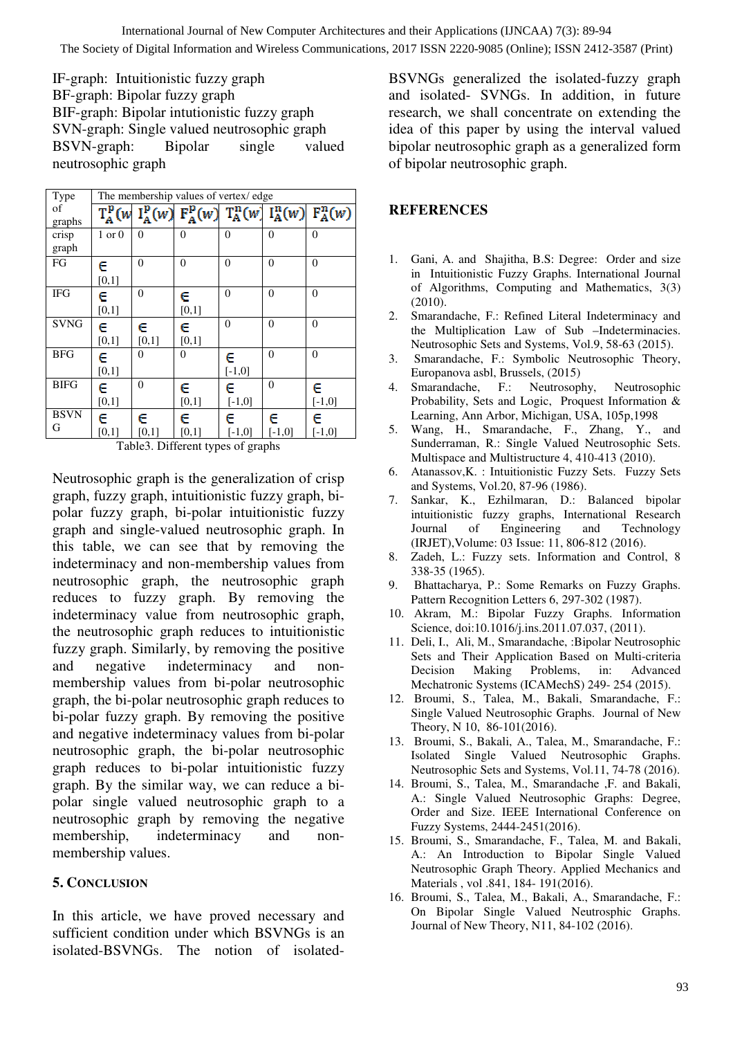IF-graph: Intuitionistic fuzzy graph BF-graph: Bipolar fuzzy graph BIF-graph: Bipolar intutionistic fuzzy graph SVN-graph: Single valued neutrosophic graph BSVN-graph: Bipolar single valued neutrosophic graph

| Type             | The membership values of vertex/edge |            |            |               |                |                                                                                      |  |  |
|------------------|--------------------------------------|------------|------------|---------------|----------------|--------------------------------------------------------------------------------------|--|--|
| of<br>graphs     | $T^{\rm p}_{\rm A}(w)$               |            |            |               |                | $I_A^{\rm p}(w)$ $F_A^{\rm p}(w)$ $T_A^{\rm n}(w)$ $I_A^{\rm n}(w)$ $F_A^{\rm n}(w)$ |  |  |
| crisp<br>graph   | $1$ or $0$                           | $\Omega$   | $\Omega$   | $\theta$      | $\theta$       | $\theta$                                                                             |  |  |
| FG               | e<br>$[0,1]$                         | $\Omega$   | $\Omega$   | 0             | 0              | 0                                                                                    |  |  |
| <b>IFG</b>       | C<br>[0,1]                           | $\theta$   | С<br>[0,1] | $\theta$      | $\theta$       | $\Omega$                                                                             |  |  |
| <b>SVNG</b>      | C<br>$[0,1]$                         | c<br>[0,1] | e<br>[0,1] | $\theta$      | $\theta$       | 0                                                                                    |  |  |
| <b>BFG</b>       | C<br>[0,1]                           | $\theta$   | 0          | С<br>$[-1,0]$ | $\overline{0}$ | $\theta$                                                                             |  |  |
| <b>BIFG</b>      | Ē<br>[0,1]                           | $\theta$   | c<br>[0,1] | C<br>$[-1,0]$ | $\overline{0}$ | С<br>$[-1,0]$                                                                        |  |  |
| <b>BSVN</b><br>G | C<br>[0,1]                           | С<br>[0,1] | C<br>[0,1] | c<br>$[-1,0]$ | C<br>$[-1,0]$  | c<br>$[-1,0]$                                                                        |  |  |

Table3. Different types of graphs

Neutrosophic graph is the generalization of crisp graph, fuzzy graph, intuitionistic fuzzy graph, bipolar fuzzy graph, bi-polar intuitionistic fuzzy graph and single-valued neutrosophic graph. In this table, we can see that by removing the indeterminacy and non-membership values from neutrosophic graph, the neutrosophic graph reduces to fuzzy graph. By removing the indeterminacy value from neutrosophic graph, the neutrosophic graph reduces to intuitionistic fuzzy graph. Similarly, by removing the positive and negative indeterminacy and nonmembership values from bi-polar neutrosophic graph, the bi-polar neutrosophic graph reduces to bi-polar fuzzy graph. By removing the positive and negative indeterminacy values from bi-polar neutrosophic graph, the bi-polar neutrosophic graph reduces to bi-polar intuitionistic fuzzy graph. By the similar way, we can reduce a bipolar single valued neutrosophic graph to a neutrosophic graph by removing the negative membership, indeterminacy and nonmembership values.

## **5. CONCLUSION**

In this article, we have proved necessary and sufficient condition under which BSVNGs is an isolated-BSVNGs. The notion of isolatedBSVNGs generalized the isolated-fuzzy graph and isolated- SVNGs. In addition, in future research, we shall concentrate on extending the idea of this paper by using the interval valued bipolar neutrosophic graph as a generalized form of bipolar neutrosophic graph.

# **REFERENCES**

- 1. Gani, A. and Shajitha, B.S: Degree: Order and size in Intuitionistic Fuzzy Graphs. International Journal of Algorithms, Computing and Mathematics, 3(3) (2010).
- 2. Smarandache, F.: Refined Literal Indeterminacy and the Multiplication Law of Sub –Indeterminacies. Neutrosophic Sets and Systems, Vol.9, 58-63 (2015).
- 3. Smarandache, F.: Symbolic Neutrosophic Theory, Europanova asbl, Brussels, (2015)
- 4. Smarandache, F.: Neutrosophy, Neutrosophic Probability, Sets and Logic, Proquest Information & Learning, Ann Arbor, Michigan, USA, 105p,1998
- 5. Wang, H., Smarandache, F., Zhang, Y., and Sunderraman, R.: Single Valued Neutrosophic Sets. Multispace and Multistructure 4, 410-413 (2010).
- 6. Atanassov,K. : Intuitionistic Fuzzy Sets. Fuzzy Sets and Systems, Vol.20, 87-96 (1986).
- 7. Sankar, K., Ezhilmaran, D.: Balanced bipolar intuitionistic fuzzy graphs, International Research Journal of Engineering and Technology (IRJET),Volume: 03 Issue: 11, 806-812 (2016).
- 8. Zadeh, L.: Fuzzy sets. Information and Control, 8 338-35 (1965).
- 9. Bhattacharya, P.: Some Remarks on Fuzzy Graphs. Pattern Recognition Letters 6, 297-302 (1987).
- 10. Akram, M.: Bipolar Fuzzy Graphs. Information Science, doi:10.1016/j.ins.2011.07.037, (2011).
- 11. Deli, I., Ali, M., Smarandache, :Bipolar Neutrosophic Sets and Their Application Based on Multi-criteria Decision Making Problems, in: Advanced Mechatronic Systems (ICAMechS) 249- 254 (2015).
- 12. Broumi, S., Talea, M., Bakali, Smarandache, F.: Single Valued Neutrosophic Graphs. Journal of New Theory, N 10, 86-101(2016).
- 13. Broumi, S., Bakali, A., Talea, M., Smarandache, F.: Isolated Single Valued Neutrosophic Graphs. Neutrosophic Sets and Systems, Vol.11, 74-78 (2016).
- 14. Broumi, S., Talea, M., Smarandache ,F. and Bakali, A.: Single Valued Neutrosophic Graphs: Degree, Order and Size. IEEE International Conference on Fuzzy Systems, 2444-2451(2016).
- 15. Broumi, S., Smarandache, F., Talea, M. and Bakali, A.: An Introduction to Bipolar Single Valued Neutrosophic Graph Theory. Applied Mechanics and Materials , vol .841, 184- 191(2016).
- 16. Broumi, S., Talea, M., Bakali, A., Smarandache, F.: On Bipolar Single Valued Neutrosphic Graphs. Journal of New Theory, N11, 84-102 (2016).